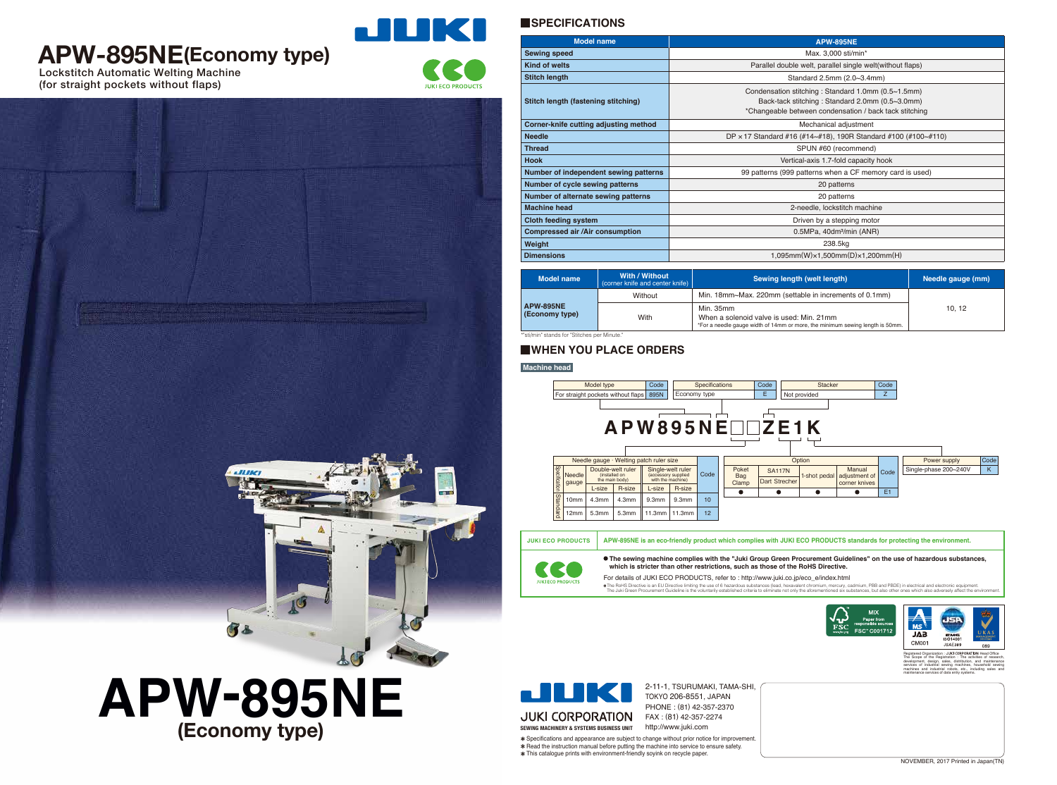## **APW-895NE(Economy type)**

Lockstitch Automatic Welting Machine (for straight pockets without flaps)



**JUKI ECO PRODUCT** 

### **SPECIFICATIONS**

#### **Machine head**

| <b>Model name</b>                     | <b>APW-895NE</b>                                                                                                                                                |  |  |
|---------------------------------------|-----------------------------------------------------------------------------------------------------------------------------------------------------------------|--|--|
| <b>Sewing speed</b>                   | Max. 3,000 sti/min*                                                                                                                                             |  |  |
| <b>Kind of welts</b>                  | Parallel double welt, parallel single welt(without flaps)                                                                                                       |  |  |
| <b>Stitch length</b>                  | Standard 2.5mm (2.0~3.4mm)                                                                                                                                      |  |  |
| Stitch length (fastening stitching)   | Condensation stitching: Standard 1.0mm (0.5~1.5mm)<br>Back-tack stitching: Standard 2.0mm (0.5~3.0mm)<br>*Changeable between condensation / back tack stitching |  |  |
| Corner-knife cutting adjusting method | Mechanical adjustment                                                                                                                                           |  |  |
| <b>Needle</b>                         | DP $\times$ 17 Standard #16 (#14~#18), 190R Standard #100 (#100~#110)                                                                                           |  |  |
| <b>Thread</b>                         | SPUN #60 (recommend)                                                                                                                                            |  |  |
| <b>Hook</b>                           | Vertical-axis 1.7-fold capacity hook                                                                                                                            |  |  |
| Number of independent sewing patterns | 99 patterns (999 patterns when a CF memory card is used)                                                                                                        |  |  |
| Number of cycle sewing patterns       | 20 patterns                                                                                                                                                     |  |  |
| Number of alternate sewing patterns   | 20 patterns                                                                                                                                                     |  |  |
| <b>Machine head</b>                   | 2-needle, lockstitch machine                                                                                                                                    |  |  |
| <b>Cloth feeding system</b>           | Driven by a stepping motor                                                                                                                                      |  |  |
| <b>Compressed air/Air consumption</b> | 0.5MPa, 40dm <sup>3</sup> /min (ANR)                                                                                                                            |  |  |
| Weight                                | 238.5kg                                                                                                                                                         |  |  |
| <b>Dimensions</b>                     | $1,095$ mm $(W) \times 1,500$ mm $(D) \times 1,200$ mm $(H)$                                                                                                    |  |  |

\*"sti/min" stands for "Stitches per Minute."

| Model name                         | With / Without<br>(corner knife and center knife) $ $ | Sewing length (welt length)                                                                                                            | Needle gauge (mm) |
|------------------------------------|-------------------------------------------------------|----------------------------------------------------------------------------------------------------------------------------------------|-------------------|
| <b>APW-895NE</b><br>(Economy type) | Without                                               | Min. 18mm~Max. 220mm (settable in increments of 0.1mm)                                                                                 | 10, 12            |
|                                    | With                                                  | Min. 35mm<br>When a solenoid valve is used: Min. 21mm<br>*For a needle gauge width of 14mm or more, the minimum sewing length is 50mm. |                   |

2-11-1, TSURUMAKI, TAMA-SHI, TOKYO 206-8551, JAPAN PHONE : (81) 42-357-2370

Specifications and appearance are subject to change without prior notice for improvement. \* Read the instruction manual before putting the machine into service to ensure safety. This catalogue prints with environment-friendly soyink on recycle paper.









The Scope of the Registration : The activities of research, development, design, sales, distribution, and maintenance services of industrial sewing machines, household sewing machines and industrial robots, etc., including sales and maintenance services of data entry systems.

### **WHEN YOU PLACE ORDERS**

# **(Economy type) APW-895NE**

**ALLINE**